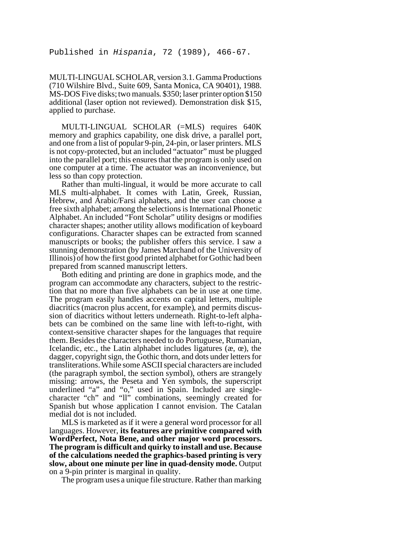MULTI-LINGUAL SCHOLAR, version 3.1. Gamma Productions (710 Wilshire Blvd., Suite 609, Santa Monica, CA 90401), 1988. MS-DOS Five disks; two manuals. \$350; laser printer option \$150 additional (laser option not reviewed). Demonstration disk \$15, applied to purchase.

MULTI-LINGUAL SCHOLAR (=MLS) requires 640K memory and graphics capability, one disk drive, a parallel port, and one from a list of popular 9-pin, 24-pin, or laser printers. MLS is not copy-protected, but an included "actuator" must be plugged into the parallel port; this ensures that the program is only used on one computer at a time. The actuator was an inconvenience, but less so than copy protection.

Rather than multi-lingual, it would be more accurate to call MLS multi-alphabet. It comes with Latin, Greek, Russian, Hebrew, and Arabic/Farsi alphabets, and the user can choose a free sixth alphabet; among the selections is International Phonetic Alphabet. An included "Font Scholar" utility designs or modifies character shapes; another utility allows modification of keyboard configurations. Character shapes can be extracted from scanned manuscripts or books; the publisher offers this service. I saw a stunning demonstration (by James Marchand of the University of Illinois) of how the first good printed alphabet for Gothic had been prepared from scanned manuscript letters.

Both editing and printing are done in graphics mode, and the program can accommodate any characters, subject to the restriction that no more than five alphabets can be in use at one time. The program easily handles accents on capital letters, multiple diacritics (macron plus accent, for example), and permits discussion of diacritics without letters underneath. Right-to-left alphabets can be combined on the same line with left-to-right, with context-sensitive character shapes for the languages that require them. Besides the characters needed to do Portuguese, Rumanian, Icelandic, etc., the Latin alphabet includes ligatures  $(x, \alpha)$ , the dagger, copyright sign, the Gothic thorn, and dots under letters for transliterations. While some ASCII special characters are included (the paragraph symbol, the section symbol), others are strangely missing: arrows, the Peseta and Yen symbols, the superscript underlined "a" and "o," used in Spain. Included are singlecharacter "ch" and "ll" combinations, seemingly created for Spanish but whose application I cannot envision. The Catalan medial dot is not included.

MLS is marketed as if it were a general word processor for all languages. However, **its features are primitive compared with WordPerfect, Nota Bene, and other major word processors. The program is difficult and quirky to install and use. Because of the calculations needed the graphics-based printing is very slow, about one minute per line in quad-density mode.** Output on a 9-pin printer is marginal in quality.

The program uses a unique file structure. Rather than marking